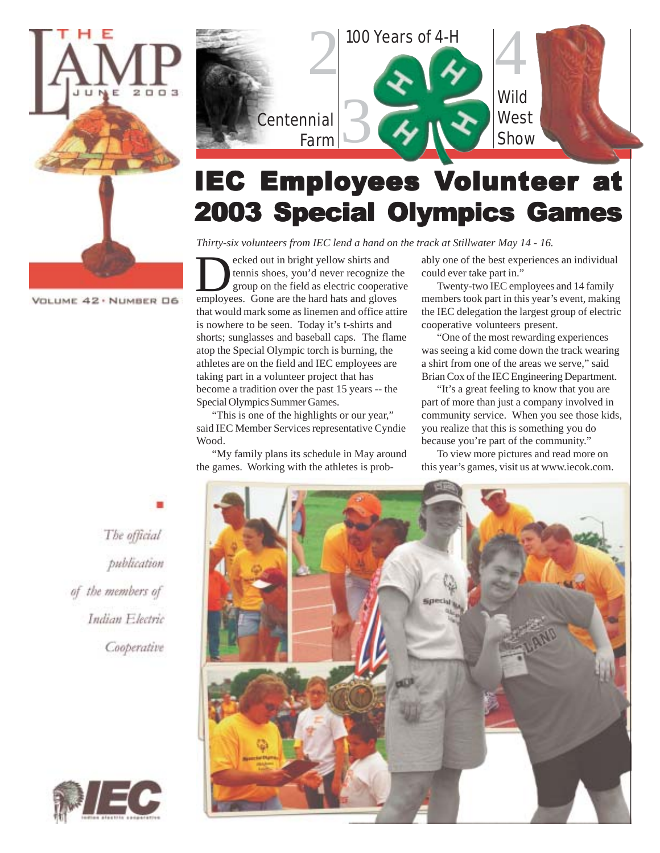



# IEC Employees Volunteer at 2003 Special Olympics Games

*Thirty-six volunteers from IEC lend a hand on the track at Stillwater May 14 - 16.*

**Example 2** ecked out in bright yellow shirts and tennis shoes, you'd never recognize the group on the field as electric cooperation employees. Gone are the hard hats and gloves ecked out in bright yellow shirts and tennis shoes, you'd never recognize the group on the field as electric cooperative that would mark some as linemen and office attire is nowhere to be seen. Today it's t-shirts and shorts; sunglasses and baseball caps. The flame atop the Special Olympic torch is burning, the athletes are on the field and IEC employees are taking part in a volunteer project that has become a tradition over the past 15 years -- the Special Olympics Summer Games.

"This is one of the highlights or our year," said IEC Member Services representative Cyndie Wood.

"My family plans its schedule in May around the games. Working with the athletes is probably one of the best experiences an individual could ever take part in."

Twenty-two IEC employees and 14 family members took part in this year's event, making the IEC delegation the largest group of electric cooperative volunteers present.

"One of the most rewarding experiences was seeing a kid come down the track wearing a shirt from one of the areas we serve," said Brian Cox of the IEC Engineering Department.

"It's a great feeling to know that you are part of more than just a company involved in community service. When you see those kids, you realize that this is something you do because you're part of the community."

To view more pictures and read more on this year's games, visit us at www.iecok.com.

The official publication of the members of Indian Electric Cooperative



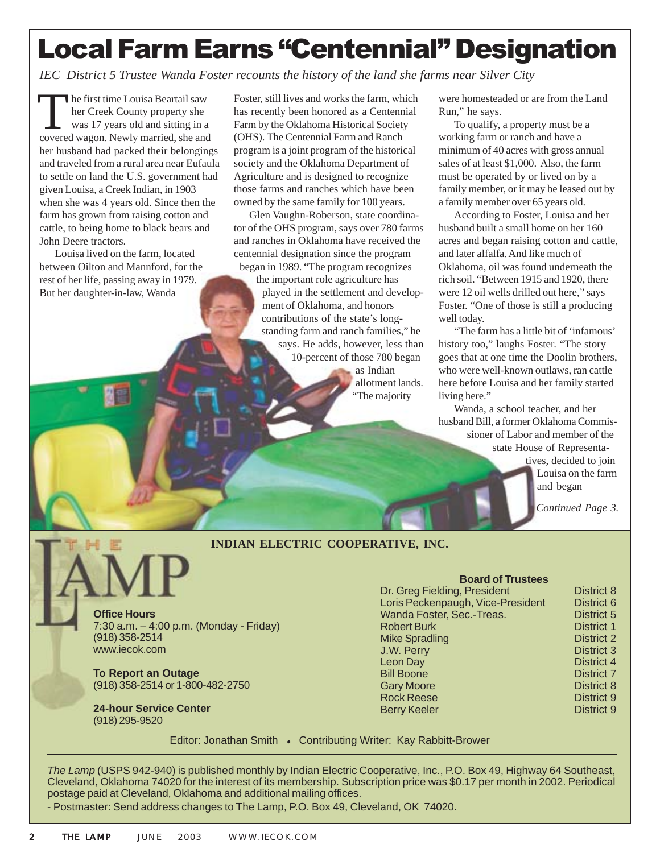# Local Farm Earns "Centennial" Designation

*IEC District 5 Trustee Wanda Foster recounts the history of the land she farms near Silver City*

The first time Louisa Beartail saw<br>her Creek County property she<br>was 17 years old and sitting in a<br>covered wagon. Newly married, she and her Creek County property she was 17 years old and sitting in a covered wagon. Newly married, she and her husband had packed their belongings and traveled from a rural area near Eufaula to settle on land the U.S. government had given Louisa, a Creek Indian, in 1903 when she was 4 years old. Since then the farm has grown from raising cotton and cattle, to being home to black bears and John Deere tractors.

Louisa lived on the farm, located between Oilton and Mannford, for the rest of her life, passing away in 1979. But her daughter-in-law, Wanda

Foster, still lives and works the farm, which has recently been honored as a Centennial Farm by the Oklahoma Historical Society (OHS). The Centennial Farm and Ranch program is a joint program of the historical society and the Oklahoma Department of Agriculture and is designed to recognize those farms and ranches which have been owned by the same family for 100 years.

Glen Vaughn-Roberson, state coordinator of the OHS program, says over 780 farms and ranches in Oklahoma have received the centennial designation since the program began in 1989. "The program recognizes

the important role agriculture has played in the settlement and development of Oklahoma, and honors contributions of the state's longstanding farm and ranch families," he says. He adds, however, less than 10-percent of those 780 began as Indian allotment lands.

The majority

were homesteaded or are from the Land Run," he says.

To qualify, a property must be a working farm or ranch and have a minimum of 40 acres with gross annual sales of at least \$1,000. Also, the farm must be operated by or lived on by a family member, or it may be leased out by a family member over 65 years old.

According to Foster, Louisa and her husband built a small home on her 160 acres and began raising cotton and cattle, and later alfalfa. And like much of Oklahoma, oil was found underneath the rich soil. "Between 1915 and 1920, there were 12 oil wells drilled out here," says Foster. "One of those is still a producing well today.

"The farm has a little bit of 'infamous' history too," laughs Foster. "The story goes that at one time the Doolin brothers, who were well-known outlaws, ran cattle here before Louisa and her family started living here."

Wanda, a school teacher, and her husband Bill, a former Oklahoma Commissioner of Labor and member of the state House of Representa-

tives, decided to join Louisa on the farm and began

*Continued Page 3.*

#### **INDIAN ELECTRIC COOPERATIVE, INC.**

**Office Hours** 7:30 a.m. – 4:00 p.m. (Monday - Friday) (918) 358-2514 www.iecok.com

**To Report an Outage** (918) 358-2514 or 1-800-482-2750

**24-hour Service Center** (918) 295-9520

**Board of Trustees** Dr. Greg Fielding, President District 8 Loris Peckenpaugh, Vice-President District 6 Wanda Foster, Sec.-Treas. District 5 Robert Burk District 1 Mike Spradling District 2 **J.W. Perry District 3** Leon Day District 4 Bill Boone District 7 Gary Moore **District 8** Rock Reese District 9 Berry Keeler **District 9** 

Editor: Jonathan Smith • Contributing Writer: Kay Rabbitt-Brower

*The Lamp* (USPS 942-940) is published monthly by Indian Electric Cooperative, Inc., P.O. Box 49, Highway 64 Southeast, Cleveland, Oklahoma 74020 for the interest of its membership. Subscription price was \$0.17 per month in 2002. Periodical postage paid at Cleveland, Oklahoma and additional mailing offices.

- Postmaster: Send address changes to The Lamp, P.O. Box 49, Cleveland, OK 74020.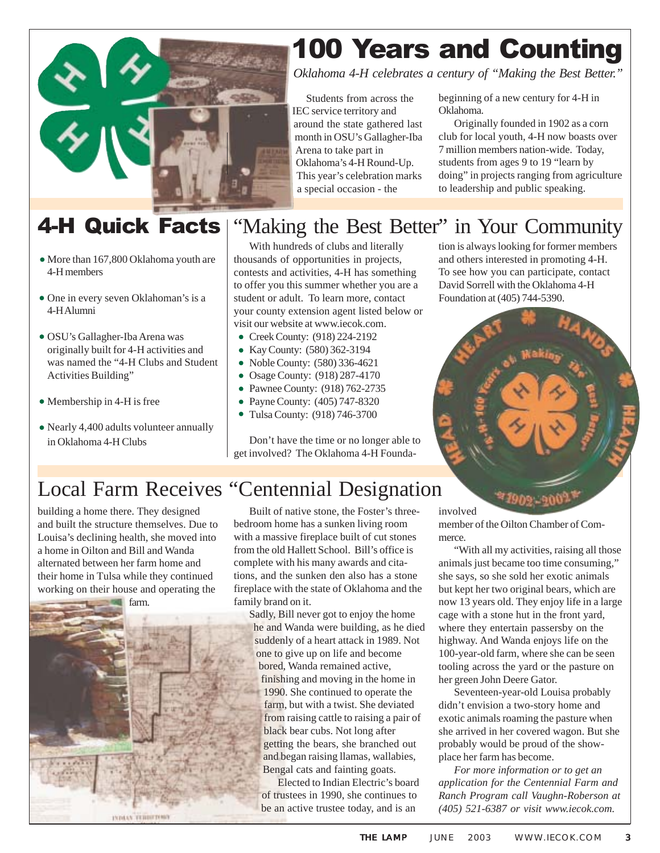

### 4-H Quick Facts

- More than 167,800 Oklahoma youth are 4-H members
- One in every seven Oklahoman's is a 4-H Alumni
- OSU's Gallagher-Iba Arena was originally built for 4-H activities and was named the "4-H Clubs and Student Activities Building"
- Membership in 4-H is free
- Nearly 4,400 adults volunteer annually in Oklahoma 4-H Clubs

# 100 Years and Counting

*Oklahoma 4-H celebrates a century of "Making the Best Better."*

Students from across the IEC service territory and around the state gathered last month in OSU's Gallagher-Iba Arena to take part in Oklahoma's 4-H Round-Up. This year's celebration marks a special occasion - the

beginning of a new century for 4-H in Oklahoma.

Originally founded in 1902 as a corn club for local youth, 4-H now boasts over 7 million members nation-wide. Today, students from ages 9 to 19 "learn by doing" in projects ranging from agriculture to leadership and public speaking.

#### "Making the Best Better" in Your Community

With hundreds of clubs and literally thousands of opportunities in projects, contests and activities, 4-H has something to offer you this summer whether you are a student or adult. To learn more, contact your county extension agent listed below or visit our website at www.iecok.com.

- Creek County: (918) 224-2192
- Kay County: (580) 362-3194
- Noble County: (580) 336-4621
- Osage County: (918) 287-4170
- Pawnee County: (918) 762-2735
- Payne County: (405) 747-8320
- Tulsa County: (918) 746-3700

Don't have the time or no longer able to get involved? The Oklahoma 4-H Foundation is always looking for former members and others interested in promoting 4-H. To see how you can participate, contact David Sorrell with the Oklahoma 4-H Foundation at (405) 744-5390.



#### Local Farm Receives "Centennial Designation

building a home there. They designed and built the structure themselves. Due to Louisa's declining health, she moved into a home in Oilton and Bill and Wanda alternated between her farm home and their home in Tulsa while they continued working on their house and operating the



Built of native stone, the Foster's threebedroom home has a sunken living room with a massive fireplace built of cut stones from the old Hallett School. Bill's office is complete with his many awards and citations, and the sunken den also has a stone fireplace with the state of Oklahoma and the family brand on it.

Sadly, Bill never got to enjoy the home he and Wanda were building, as he died suddenly of a heart attack in 1989. Not one to give up on life and become bored, Wanda remained active, finishing and moving in the home in 1990. She continued to operate the farm, but with a twist. She deviated from raising cattle to raising a pair of black bear cubs. Not long after getting the bears, she branched out and began raising llamas, wallabies, Bengal cats and fainting goats.

Elected to Indian Electric's board of trustees in 1990, she continues to be an active trustee today, and is an

involved member of the Oilton Chamber of Commerce.

"With all my activities, raising all those animals just became too time consuming," she says, so she sold her exotic animals but kept her two original bears, which are now 13 years old. They enjoy life in a large cage with a stone hut in the front yard, where they entertain passersby on the highway. And Wanda enjoys life on the 100-year-old farm, where she can be seen tooling across the yard or the pasture on her green John Deere Gator.

Seventeen-year-old Louisa probably didn't envision a two-story home and exotic animals roaming the pasture when she arrived in her covered wagon. But she probably would be proud of the showplace her farm has become.

*For more information or to get an application for the Centennial Farm and Ranch Program call Vaughn-Roberson at (405) 521-6387 or visit www.iecok.com.*